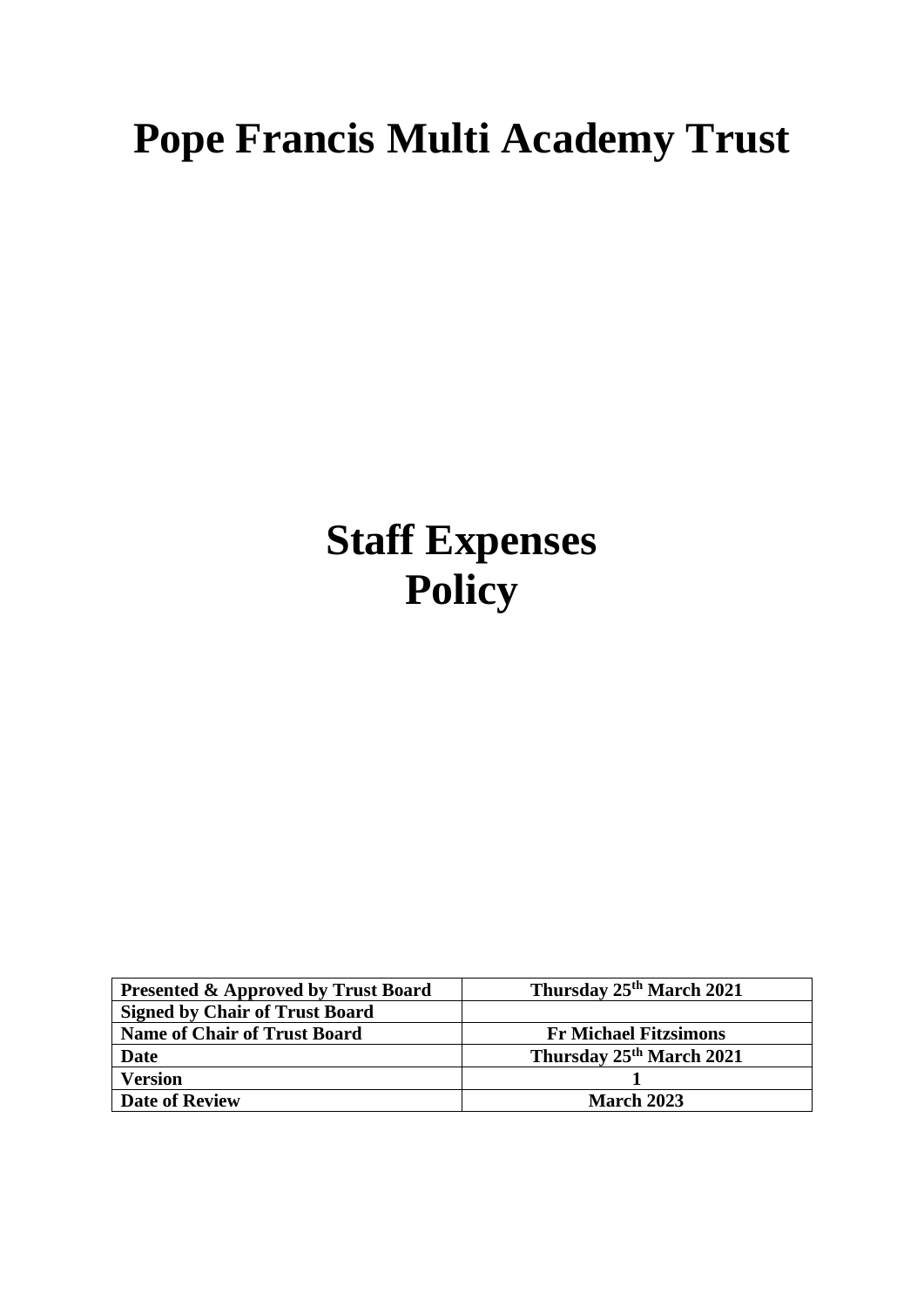# **Pope Francis Multi Academy Trust**

# **Staff Expenses Policy**

| <b>Presented &amp; Approved by Trust Board</b> | Thursday 25th March 2021             |
|------------------------------------------------|--------------------------------------|
| <b>Signed by Chair of Trust Board</b>          |                                      |
| <b>Name of Chair of Trust Board</b>            | <b>Fr Michael Fitzsimons</b>         |
| <b>Date</b>                                    | Thursday 25 <sup>th</sup> March 2021 |
| <b>Version</b>                                 |                                      |
| <b>Date of Review</b>                          | <b>March 2023</b>                    |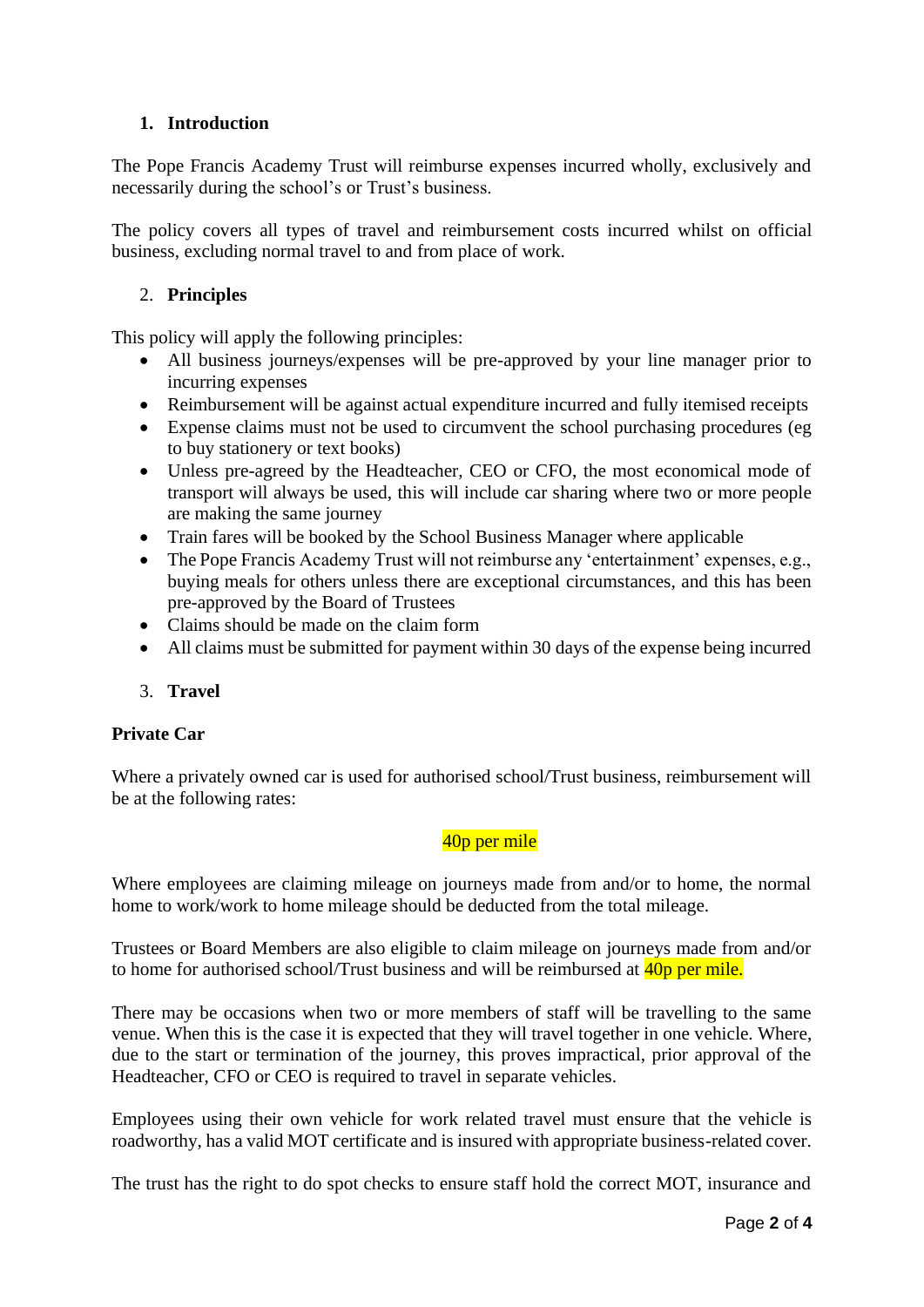## **1. Introduction**

The Pope Francis Academy Trust will reimburse expenses incurred wholly, exclusively and necessarily during the school's or Trust's business.

The policy covers all types of travel and reimbursement costs incurred whilst on official business, excluding normal travel to and from place of work.

## 2. **Principles**

This policy will apply the following principles:

- All business journeys/expenses will be pre-approved by your line manager prior to incurring expenses
- Reimbursement will be against actual expenditure incurred and fully itemised receipts
- Expense claims must not be used to circumvent the school purchasing procedures (eg to buy stationery or text books)
- Unless pre-agreed by the Headteacher, CEO or CFO, the most economical mode of transport will always be used, this will include car sharing where two or more people are making the same journey
- Train fares will be booked by the School Business Manager where applicable
- The Pope Francis Academy Trust will not reimburse any 'entertainment' expenses, e.g., buying meals for others unless there are exceptional circumstances, and this has been pre-approved by the Board of Trustees
- Claims should be made on the claim form
- All claims must be submitted for payment within 30 days of the expense being incurred
- 3. **Travel**

#### **Private Car**

Where a privately owned car is used for authorised school/Trust business, reimbursement will be at the following rates:

# 40<sub>p</sub> per mile

Where employees are claiming mileage on journeys made from and/or to home, the normal home to work/work to home mileage should be deducted from the total mileage.

Trustees or Board Members are also eligible to claim mileage on journeys made from and/or to home for authorised school/Trust business and will be reimbursed at  $\frac{40p}{p}$  per mile.

There may be occasions when two or more members of staff will be travelling to the same venue. When this is the case it is expected that they will travel together in one vehicle. Where, due to the start or termination of the journey, this proves impractical, prior approval of the Headteacher, CFO or CEO is required to travel in separate vehicles.

Employees using their own vehicle for work related travel must ensure that the vehicle is roadworthy, has a valid MOT certificate and is insured with appropriate business-related cover.

The trust has the right to do spot checks to ensure staff hold the correct MOT, insurance and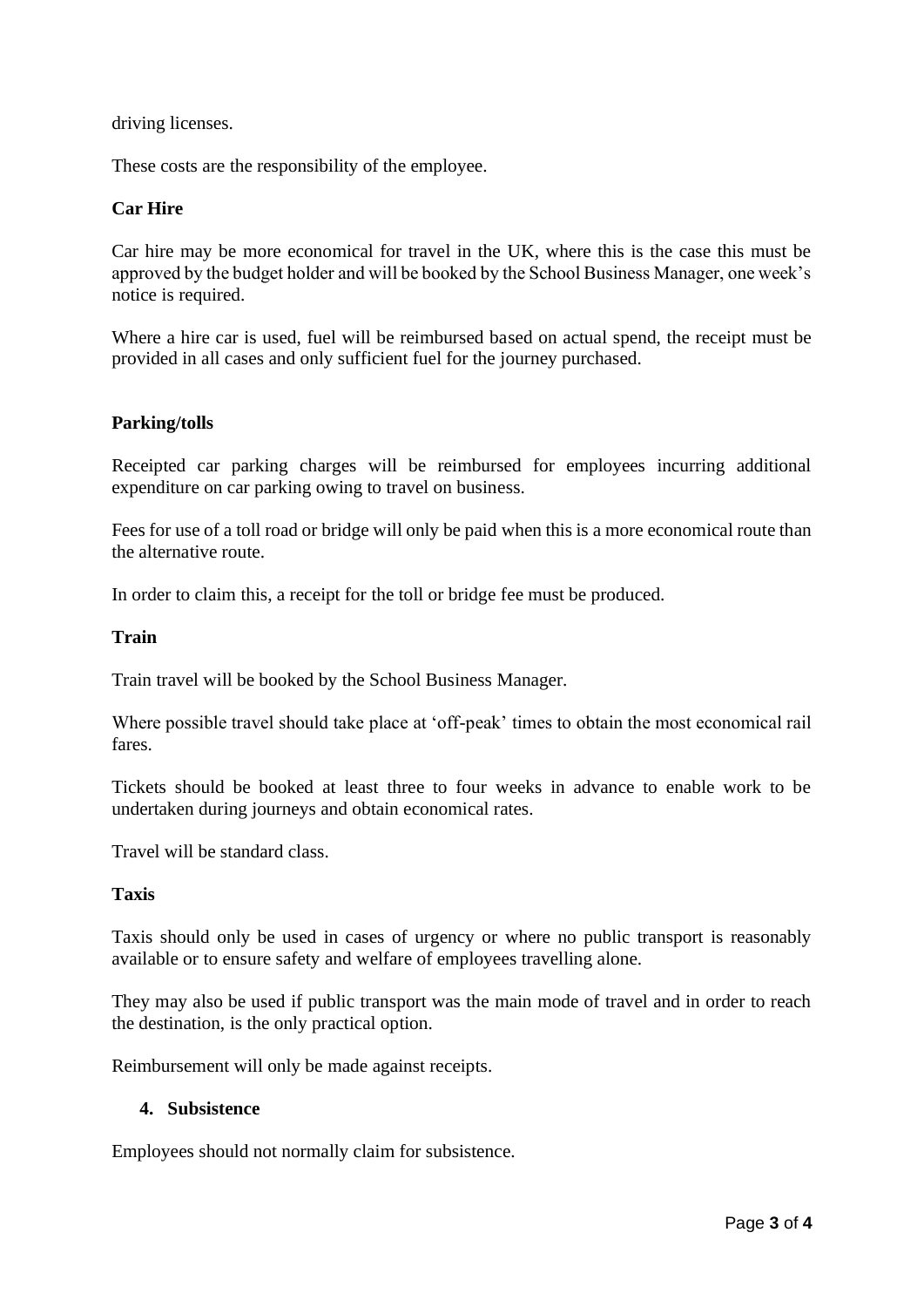#### driving licenses.

These costs are the responsibility of the employee.

#### **Car Hire**

Car hire may be more economical for travel in the UK, where this is the case this must be approved by the budget holder and will be booked by the School Business Manager, one week's notice is required.

Where a hire car is used, fuel will be reimbursed based on actual spend, the receipt must be provided in all cases and only sufficient fuel for the journey purchased.

#### **Parking/tolls**

Receipted car parking charges will be reimbursed for employees incurring additional expenditure on car parking owing to travel on business.

Fees for use of a toll road or bridge will only be paid when this is a more economical route than the alternative route.

In order to claim this, a receipt for the toll or bridge fee must be produced.

#### **Train**

Train travel will be booked by the School Business Manager.

Where possible travel should take place at 'off-peak' times to obtain the most economical rail fares.

Tickets should be booked at least three to four weeks in advance to enable work to be undertaken during journeys and obtain economical rates.

Travel will be standard class.

#### **Taxis**

Taxis should only be used in cases of urgency or where no public transport is reasonably available or to ensure safety and welfare of employees travelling alone.

They may also be used if public transport was the main mode of travel and in order to reach the destination, is the only practical option.

Reimbursement will only be made against receipts.

#### **4. Subsistence**

Employees should not normally claim for subsistence.